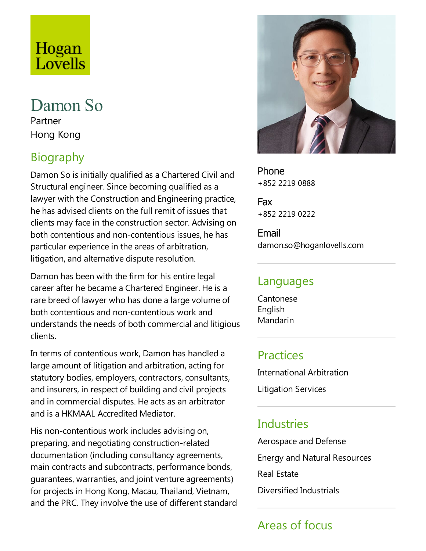# Hogan Lovells

#### Damon So Partner Hong Kong

# Biography

Damon So is initially qualified as a Chartered Civil and Structural engineer. Since becoming qualified as a lawyer with the Construction and Engineering practice, he has advised clients on the full remit of issues that clients may face in the construction sector. Advising on both contentious and non-contentious issues, he has particular experience in the areas of arbitration, litigation, and alternative dispute resolution.

Damon has been with the firm for his entire legal career after he became a Chartered Engineer. He is a rare breed of lawyer who has done a large volume of both contentious and non-contentious work and understands the needs of both commercial and litigious clients.

In terms of contentious work, Damon has handled a large amount of litigation and arbitration, acting for statutory bodies, employers, contractors, consultants, and insurers, in respect of building and civil projects and in commercial disputes. He acts as an arbitrator and is a HKMAAL Accredited Mediator.

His non-contentious work includes advising on, preparing, and negotiating construction-related documentation (including consultancy agreements, main contracts and subcontracts, performance bonds, guarantees, warranties, and joint venture agreements) for projects in Hong Kong, Macau, Thailand, Vietnam, and the PRC. They involve the use of different standard



Phone +852 2219 0888

Fax +852 2219 0222

Email damon.so@hoganlovells.com

#### Languages

Cantonese English Mandarin

#### Practices

International Arbitration Litigation Services

## Industries

Aerospace and Defense Energy and Natural Resources Real Estate Diversified Industrials

# Areas of focus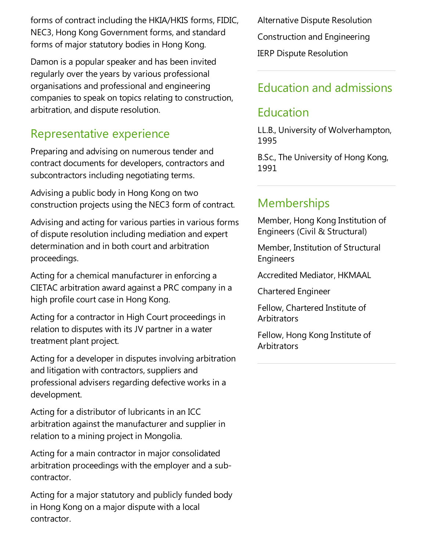forms of contract including the HKIA/HKIS forms, FIDIC, NEC3, Hong Kong Government forms, and standard forms of major statutory bodies in Hong Kong.

Damon is a popular speaker and has been invited regularly over the years by various professional organisations and professional and engineering companies to speak on topics relating to construction, arbitration, and dispute resolution.

#### Representative experience

Preparing and advising on numerous tender and contract documents for developers, contractors and subcontractors including negotiating terms.

Advising a public body in Hong Kong on two construction projects using the NEC3 form of contract.

Advising and acting for various parties in various forms of dispute resolution including mediation and expert determination and in both court and arbitration proceedings.

Acting for a chemical manufacturer in enforcing a CIETAC arbitration award againsta PRC company in a high profile court case in Hong Kong.

Acting for a contractor in High Court proceedings in relation to disputes with its JV partner in a water treatment plant project.

Acting for a developer in disputes involving arbitration and litigation with contractors, suppliers and professional advisers regarding defective works in a development.

Acting for a distributor of lubricants in an ICC arbitration against the manufacturer and supplier in relation to a mining project in Mongolia.

Acting for a main contractor in major consolidated arbitration proceedings with the employer and a subcontractor.

Acting for a major statutory and publicly funded body in Hong Kong on a major dispute with a local contractor.

Alternative Dispute Resolution Construction and Engineering IERP Dispute Resolution

## Education and admissions

#### Education

LL.B., University of Wolverhampton, 1995

B.Sc., The University of Hong Kong, 1991

## **Memberships**

Member, Hong Kong Institution of Engineers (Civil & Structural)

Member, Institution of Structural Engineers

Accredited Mediator, HKMAAL

Chartered Engineer

Fellow, Chartered Institute of **Arbitrators** 

Fellow, Hong Kong Institute of **Arbitrators**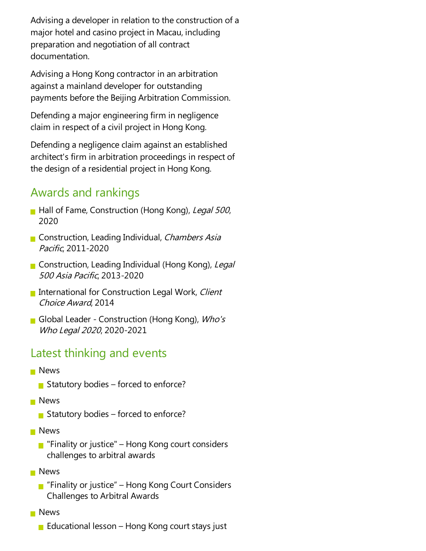Advising a developer in relation to the construction of a major hotel and casino project in Macau, including preparation and negotiation of all contract documentation.

Advising a Hong Kong contractor in an arbitration against a mainland developer for outstanding payments before the Beijing Arbitration Commission.

Defending a major engineering firm in negligence claim in respect of a civil project in Hong Kong.

Defending a negligence claim against an established architect's firm in arbitration proceedings in respect of the design of a residential project in Hong Kong.

#### Awards and rankings

- Hall of Fame, Construction (Hong Kong), Legal 500, 2020
- Construction, Leading Individual, Chambers Asia Pacific, 2011-2020
- Construction, Leading Individual (Hong Kong), Legal <sup>500</sup> Asia Pacific, 2013-2020
- International for Construction Legal Work, Client Choice Award, 2014
- Global Leader Construction (Hong Kong), *Who's* Who Legal <sup>2020</sup>, 2020-2021

#### Latest thinking and events

- **News** 
	- Statutory bodies forced to enforce?
- **News** 
	- Statutory bodies forced to enforce?
- **News** 
	- **F** "Finality or justice" Hong Kong court considers challenges to arbitral awards
- **News** 
	- **F** "Finality or justice" Hong Kong Court Considers Challenges to Arbitral Awards
- **News** 
	- Educational lesson Hong Kong court stays just